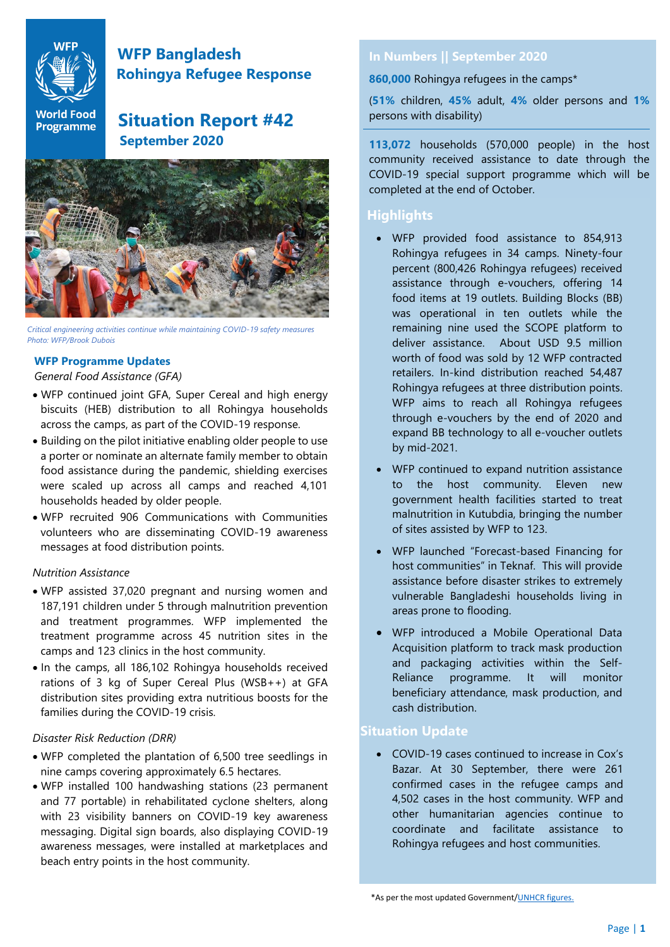

# **WFP Bangladesh Rohingya Refugee Response**

# World Food Situation Report #42  **September 2020**



*Critical engineering activities continue while maintaining COVID-19 safety measures Photo: WFP/Brook Dubois* 

## **WFP Programme Updates**

#### *General Food Assistance (GFA)*

- WFP continued joint GFA, Super Cereal and high energy biscuits (HEB) distribution to all Rohingya households across the camps, as part of the COVID-19 response.
- Building on the pilot initiative enabling older people to use a porter or nominate an alternate family member to obtain food assistance during the pandemic, shielding exercises were scaled up across all camps and reached 4,101 households headed by older people.
- WFP recruited 906 Communications with Communities volunteers who are disseminating COVID-19 awareness messages at food distribution points.

#### *Nutrition Assistance*

- WFP assisted 37,020 pregnant and nursing women and 187,191 children under 5 through malnutrition prevention and treatment programmes. WFP implemented the treatment programme across 45 nutrition sites in the camps and 123 clinics in the host community.
- In the camps, all 186,102 Rohingya households received rations of 3 kg of Super Cereal Plus (WSB++) at GFA distribution sites providing extra nutritious boosts for the families during the COVID-19 crisis.

#### *Disaster Risk Reduction (DRR)*

- WFP completed the plantation of 6,500 tree seedlings in nine camps covering approximately 6.5 hectares.
- WFP installed 100 handwashing stations (23 permanent and 77 portable) in rehabilitated cyclone shelters, along with 23 visibility banners on COVID-19 key awareness messaging. Digital sign boards, also displaying COVID-19 awareness messages, were installed at marketplaces and beach entry points in the host community.

# **In Numbers || September 2020**

**860,000** Rohingya refugees in the camps\*

(**51%** children, **45%** adult, **4%** older persons and **1%** persons with disability)

**113,072** households (570,000 people) in the host community received assistance to date through the COVID-19 special support programme which will be completed at the end of October.

# **Highlights**

- WFP provided food assistance to 854,913 Rohingya refugees in 34 camps. Ninety-four percent (800,426 Rohingya refugees) received assistance through e-vouchers, offering 14 food items at 19 outlets. Building Blocks (BB) was operational in ten outlets while the remaining nine used the SCOPE platform to deliver assistance. About USD 9.5 million worth of food was sold by 12 WFP contracted retailers. In-kind distribution reached 54,487 Rohingya refugees at three distribution points. WFP aims to reach all Rohingya refugees through e-vouchers by the end of 2020 and expand BB technology to all e-voucher outlets by mid-2021.
- WFP continued to expand nutrition assistance to the host community. Eleven new government health facilities started to treat malnutrition in Kutubdia, bringing the number of sites assisted by WFP to 123.
- WFP launched "Forecast-based Financing for host communities" in Teknaf. This will provide assistance before disaster strikes to extremely vulnerable Bangladeshi households living in areas prone to flooding.
- WFP introduced a Mobile Operational Data Acquisition platform to track mask production and packaging activities within the Self-Reliance programme. It will monitor beneficiary attendance, mask production, and cash distribution.

## **Situation Update**

• COVID-19 cases continued to increase in Cox's Bazar. At 30 September, there were 261 confirmed cases in the refugee camps and 4,502 cases in the host community. WFP and other humanitarian agencies continue to coordinate and facilitate assistance to Rohingya refugees and host communities.

\*As per the most updated Government[/UNHCR figures.](https://reliefweb.int/report/bangladesh/rohingya-refugee-responsebangladesh-joint-government-bangladesh-unhcr-population-4)